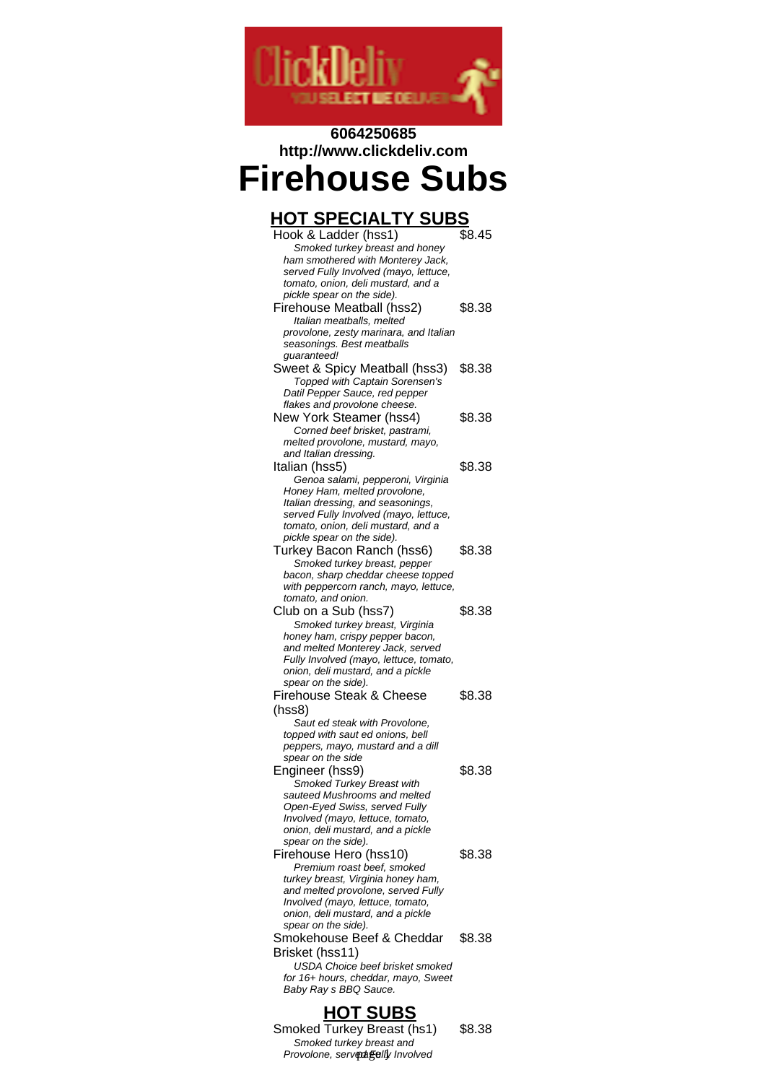

#### **6064250685 http://www.clickdeliv.com**

# **Firehouse Subs**

| <u>HOT SPECIALTY SUBS</u>                                                     |        |  |
|-------------------------------------------------------------------------------|--------|--|
| Hook & Ladder (hss1)                                                          | \$8.45 |  |
| Smoked turkey breast and honey                                                |        |  |
| ham smothered with Monterey Jack,<br>served Fully Involved (mayo, lettuce,    |        |  |
| tomato, onion, deli mustard, and a                                            |        |  |
| pickle spear on the side).                                                    |        |  |
| Firehouse Meatball (hss2)                                                     | \$8.38 |  |
| Italian meatballs, melted                                                     |        |  |
| provolone, zesty marinara, and Italian<br>seasonings. Best meatballs          |        |  |
| guaranteed!                                                                   |        |  |
| Sweet & Spicy Meatball (hss3)                                                 | \$8.38 |  |
| Topped with Captain Sorensen's                                                |        |  |
| Datil Pepper Sauce, red pepper<br>flakes and provolone cheese.                |        |  |
| New York Steamer (hss4)                                                       | \$8.38 |  |
| Corned beef brisket, pastrami,                                                |        |  |
| melted provolone, mustard, mayo,                                              |        |  |
| and Italian dressing.<br>Italian (hss5)                                       | \$8.38 |  |
| Genoa salami, pepperoni, Virginia                                             |        |  |
| Honey Ham, melted provolone,                                                  |        |  |
| Italian dressing, and seasonings,                                             |        |  |
| served Fully Involved (mayo, lettuce,<br>tomato, onion, deli mustard, and a   |        |  |
| pickle spear on the side).                                                    |        |  |
| Turkey Bacon Ranch (hss6)                                                     | \$8.38 |  |
| Smoked turkey breast, pepper                                                  |        |  |
| bacon, sharp cheddar cheese topped                                            |        |  |
| with peppercorn ranch, mayo, lettuce,<br>tomato, and onion.                   |        |  |
| Club on a Sub (hss7)                                                          | \$8.38 |  |
| Smoked turkey breast, Virginia                                                |        |  |
| honey ham, crispy pepper bacon,                                               |        |  |
| and melted Monterey Jack, served<br>Fully Involved (mayo, lettuce, tomato,    |        |  |
| onion, deli mustard, and a pickle                                             |        |  |
| spear on the side).                                                           |        |  |
| <b>Firehouse Steak &amp; Cheese</b>                                           | \$8.38 |  |
| (hss8)<br>Saut ed steak with Provolone,                                       |        |  |
| topped with saut ed onions, bell                                              |        |  |
| peppers, mayo, mustard and a dill                                             |        |  |
| spear on the side                                                             |        |  |
| Engineer (hss9)                                                               | \$8.38 |  |
| Smoked Turkey Breast with<br>sauteed Mushrooms and melted                     |        |  |
| Open-Eyed Swiss, served Fully                                                 |        |  |
| Involved (mayo, lettuce, tomato,                                              |        |  |
| onion, deli mustard, and a pickle<br>spear on the side).                      |        |  |
| Firehouse Hero (hss10)                                                        | \$8.38 |  |
| Premium roast beef, smoked                                                    |        |  |
| turkey breast, Virginia honey ham,                                            |        |  |
| and melted provolone, served Fully<br>Involved (mayo, lettuce, tomato,        |        |  |
| onion, deli mustard, and a pickle                                             |        |  |
| spear on the side).                                                           |        |  |
| Smokehouse Beef & Cheddar                                                     | \$8.38 |  |
| Brisket (hss11)                                                               |        |  |
| <b>USDA Choice beef brisket smoked</b><br>for 16+ hours, cheddar, mayo, Sweet |        |  |
| Baby Ray s BBQ Sauce.                                                         |        |  |
|                                                                               |        |  |
| <u>HOT SUBS</u>                                                               |        |  |
| Smoked Turkey Breast (hs1)                                                    | \$8.38 |  |
| Smoked turkey breast and<br>Provolone, served felly Involved                  |        |  |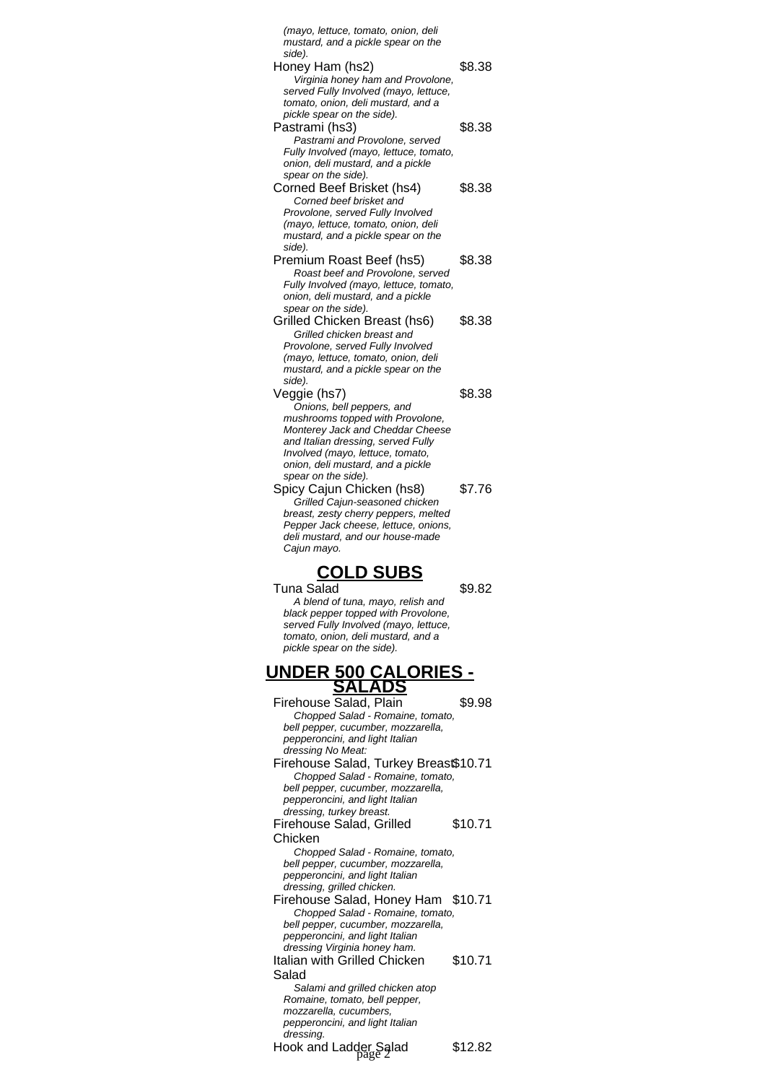| (mayo, lettuce, tomato, onion, deli<br>mustard, and a pickle spear on the<br>side). |         |  |
|-------------------------------------------------------------------------------------|---------|--|
| Honey Ham (hs2)                                                                     | \$8.38  |  |
| Virginia honey ham and Provolone,<br>served Fully Involved (mayo, lettuce,          |         |  |
| tomato, onion, deli mustard, and a<br>pickle spear on the side).                    |         |  |
| Pastrami (hs3)                                                                      | \$8.38  |  |
| Pastrami and Provolone, served<br>Fully Involved (mayo, lettuce, tomato,            |         |  |
| onion, deli mustard, and a pickle                                                   |         |  |
| spear on the side).<br>Corned Beef Brisket (hs4)                                    | \$8.38  |  |
| Corned beef brisket and                                                             |         |  |
| Provolone, served Fully Involved<br>(mayo, lettuce, tomato, onion, deli             |         |  |
| mustard, and a pickle spear on the<br>side).                                        |         |  |
| Premium Roast Beef (hs5)                                                            | \$8.38  |  |
| Roast beef and Provolone, served<br>Fully Involved (mayo, lettuce, tomato,          |         |  |
| onion, deli mustard, and a pickle                                                   |         |  |
| spear on the side).<br>Grilled Chicken Breast (hs6)                                 | \$8.38  |  |
| Grilled chicken breast and<br>Provolone, served Fully Involved                      |         |  |
| (mayo, lettuce, tomato, onion, deli                                                 |         |  |
| mustard, and a pickle spear on the<br>side).                                        |         |  |
| Veggie (hs7)                                                                        | \$8.38  |  |
| Onions, bell peppers, and<br>mushrooms topped with Provolone,                       |         |  |
| Monterey Jack and Cheddar Cheese<br>and Italian dressing, served Fully              |         |  |
| Involved (mayo, lettuce, tomato,                                                    |         |  |
| onion, deli mustard, and a pickle<br>spear on the side).                            |         |  |
| Spicy Cajun Chicken (hs8)                                                           | \$7.76  |  |
| Grilled Cajun-seasoned chicken<br>breast, zesty cherry peppers, melted              |         |  |
| Pepper Jack cheese, lettuce, onions,<br>deli mustard, and our house-made            |         |  |
| Cajun mayo.                                                                         |         |  |
| OLD SUB:                                                                            |         |  |
| Tuna Salad                                                                          | \$9.82  |  |
| A blend of tuna, mayo, relish and<br>black pepper topped with Provolone,            |         |  |
| served Fully Involved (mayo, lettuce,<br>tomato, onion, deli mustard, and a         |         |  |
| pickle spear on the side).                                                          |         |  |
| <u>UNDER 500 CALORIES -</u><br>SALADS                                               |         |  |
|                                                                                     |         |  |
| Firehouse Salad, Plain<br>Chopped Salad - Romaine, tomato,                          | \$9.98  |  |
| bell pepper, cucumber, mozzarella,<br>pepperoncini, and light Italian               |         |  |
| dressing No Meat:                                                                   |         |  |
| Firehouse Salad, Turkey Breas\$10.71<br>Chopped Salad - Romaine, tomato,            |         |  |
| bell pepper, cucumber, mozzarella,                                                  |         |  |
| pepperoncini, and light Italian<br>dressing, turkey breast.                         |         |  |
| Firehouse Salad, Grilled                                                            | \$10.71 |  |
| Chicken<br>Chopped Salad - Romaine, tomato,                                         |         |  |
| bell pepper, cucumber, mozzarella,<br>pepperoncini, and light Italian               |         |  |
| dressing, grilled chicken.                                                          |         |  |
| Firehouse Salad, Honey Ham \$10.71<br>Chopped Salad - Romaine, tomato,              |         |  |
| bell pepper, cucumber, mozzarella,                                                  |         |  |
| pepperoncini, and light Italian<br>dressing Virginia honey ham.                     |         |  |

Italian with Grilled Chicken Salad \$10.71 Salami and grilled chicken atop Romaine, tomato, bell pepper, mozzarella, cucumbers, pepperoncini, and light Italian

dressing. Hook and Ladder Salad \$12.82